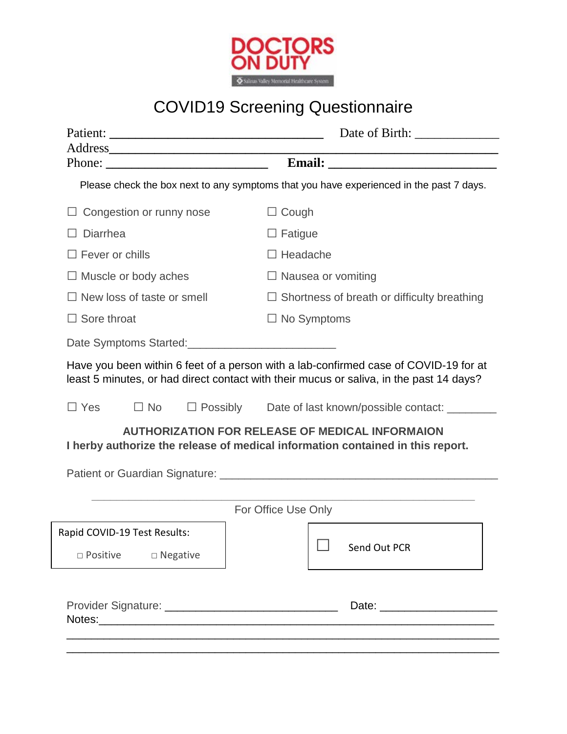

## COVID19 Screening Questionnaire

|                                                                                         |                                   | Date of Birth:                                                                                                                                                                                     |  |  |  |
|-----------------------------------------------------------------------------------------|-----------------------------------|----------------------------------------------------------------------------------------------------------------------------------------------------------------------------------------------------|--|--|--|
|                                                                                         |                                   |                                                                                                                                                                                                    |  |  |  |
| Please check the box next to any symptoms that you have experienced in the past 7 days. |                                   |                                                                                                                                                                                                    |  |  |  |
|                                                                                         | Congestion or runny nose          | $\Box$ Cough                                                                                                                                                                                       |  |  |  |
| Diarrhea                                                                                |                                   | $\Box$ Fatigue                                                                                                                                                                                     |  |  |  |
| $\Box$ Fever or chills                                                                  |                                   | $\Box$ Headache                                                                                                                                                                                    |  |  |  |
|                                                                                         | $\Box$ Muscle or body aches       | $\Box$ Nausea or vomiting                                                                                                                                                                          |  |  |  |
|                                                                                         | $\Box$ New loss of taste or smell | $\Box$ Shortness of breath or difficulty breathing                                                                                                                                                 |  |  |  |
| $\Box$ Sore throat                                                                      |                                   | $\Box$ No Symptoms                                                                                                                                                                                 |  |  |  |
|                                                                                         |                                   |                                                                                                                                                                                                    |  |  |  |
| $\Box$ Yes                                                                              | $\Box$ No                         | □ Possibly Date of last known/possible contact: ______<br><b>AUTHORIZATION FOR RELEASE OF MEDICAL INFORMAION</b><br>I herby authorize the release of medical information contained in this report. |  |  |  |
|                                                                                         |                                   |                                                                                                                                                                                                    |  |  |  |
|                                                                                         |                                   |                                                                                                                                                                                                    |  |  |  |
|                                                                                         |                                   | For Office Use Only                                                                                                                                                                                |  |  |  |
|                                                                                         |                                   |                                                                                                                                                                                                    |  |  |  |
| Rapid COVID-19 Test Results:<br>$\square$ Positive                                      | □ Negative                        | ─<br>Send Out PCR                                                                                                                                                                                  |  |  |  |